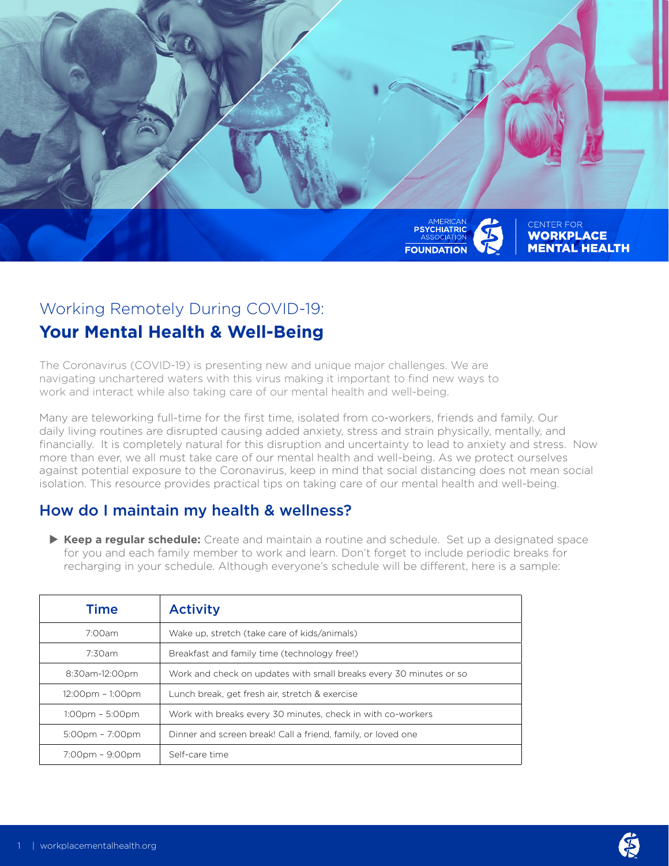

# Working Remotely During COVID-19:

## **Your Mental Health & Well-Being**

The Coronavirus (COVID-19) is presenting new and unique major challenges. We are navigating unchartered waters with this virus making it important to find new ways to work and interact while also taking care of our mental health and well-being.

Many are teleworking full-time for the first time, isolated from co-workers, friends and family. Our daily living routines are disrupted causing added anxiety, stress and strain physically, mentally, and financially. It is completely natural for this disruption and uncertainty to lead to anxiety and stress. Now more than ever, we all must take care of our mental health and well-being. As we protect ourselves against potential exposure to the Coronavirus, keep in mind that social distancing does not mean social isolation. This resource provides practical tips on taking care of our mental health and well-being.

## How do I maintain my health & wellness?

▶ Keep a regular schedule: Create and maintain a routine and schedule. Set up a designated space for you and each family member to work and learn. Don't forget to include periodic breaks for recharging in your schedule. Although everyone's schedule will be different, here is a sample:

| <b>Time</b>                       | <b>Activity</b>                                                    |
|-----------------------------------|--------------------------------------------------------------------|
| 7:00am                            | Wake up, stretch (take care of kids/animals)                       |
| 7:30am                            | Breakfast and family time (technology free!)                       |
| 8:30am-12:00pm                    | Work and check on updates with small breaks every 30 minutes or so |
| 12:00pm - 1:00pm                  | Lunch break, get fresh air, stretch & exercise                     |
| $1:00$ pm – 5:00pm                | Work with breaks every 30 minutes, check in with co-workers        |
| $5:00 \text{pm} - 7:00 \text{pm}$ | Dinner and screen break! Call a friend, family, or loved one       |
| 7:00pm - 9:00pm                   | Self-care time                                                     |

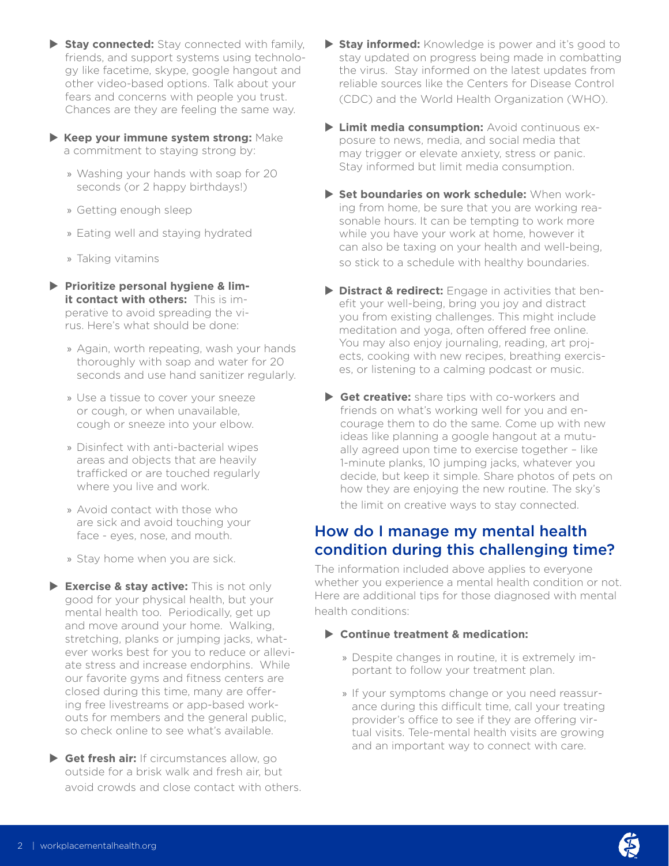- ▶ Stay connected: Stay connected with family, friends, and support systems using technology like facetime, skype, google hangout and other video-based options. Talk about your fears and concerns with people you trust. Chances are they are feeling the same way.
- X **Keep your immune system strong:** Make a commitment to staying strong by:
	- » Washing your hands with soap for 20 seconds (or 2 happy birthdays!)
	- » Getting enough sleep
	- » Eating well and staying hydrated
	- » Taking vitamins
- $\triangleright$  **Prioritize personal hygiene & limit contact with others:** This is imperative to avoid spreading the virus. Here's what should be done:
	- » Again, worth repeating, wash your hands thoroughly with soap and water for 20 seconds and use hand sanitizer regularly.
	- » Use a tissue to cover your sneeze or cough, or when unavailable, cough or sneeze into your elbow.
	- » Disinfect with anti-bacterial wipes areas and objects that are heavily trafficked or are touched regularly where you live and work.
	- » Avoid contact with those who are sick and avoid touching your face - eyes, nose, and mouth.
	- » Stay home when you are sick.
- ▶ Exercise & stav active: This is not only good for your physical health, but your mental health too. Periodically, get up and move around your home. Walking, stretching, planks or jumping jacks, whatever works best for you to reduce or alleviate stress and increase endorphins. While our favorite gyms and fitness centers are closed during this time, many are offering free livestreams or app-based workouts for members and the general public, so check online to see what's available.
- ▶ Get fresh air: If circumstances allow, go outside for a brisk walk and fresh air, but avoid crowds and close contact with others.
- ▶ Stay informed: Knowledge is power and it's good to stay updated on progress being made in combatting the virus. Stay informed on the latest updates from reliable sources like the Centers for Disease Control (CDC) and the World Health Organization (WHO).
- **Limit media consumption:** Avoid continuous exposure to news, media, and social media that may trigger or elevate anxiety, stress or panic. Stay informed but limit media consumption.
- **> Set boundaries on work schedule:** When working from home, be sure that you are working reasonable hours. It can be tempting to work more while you have your work at home, however it can also be taxing on your health and well-being, so stick to a schedule with healthy boundaries.
- **Distract & redirect:** Engage in activities that benefit your well-being, bring you joy and distract you from existing challenges. This might include meditation and yoga, often offered free online. You may also enjoy journaling, reading, art projects, cooking with new recipes, breathing exercises, or listening to a calming podcast or music.
- ▶ Get creative: share tips with co-workers and friends on what's working well for you and encourage them to do the same. Come up with new ideas like planning a google hangout at a mutually agreed upon time to exercise together – like 1-minute planks, 10 jumping jacks, whatever you decide, but keep it simple. Share photos of pets on how they are enjoying the new routine. The sky's the limit on creative ways to stay connected.

## How do I manage my mental health condition during this challenging time?

The information included above applies to everyone whether you experience a mental health condition or not. Here are additional tips for those diagnosed with mental health conditions:

- ▶ Continue treatment & medication:
	- » Despite changes in routine, it is extremely important to follow your treatment plan.
	- » If your symptoms change or you need reassurance during this difficult time, call your treating provider's office to see if they are offering virtual visits. Tele-mental health visits are growing and an important way to connect with care.

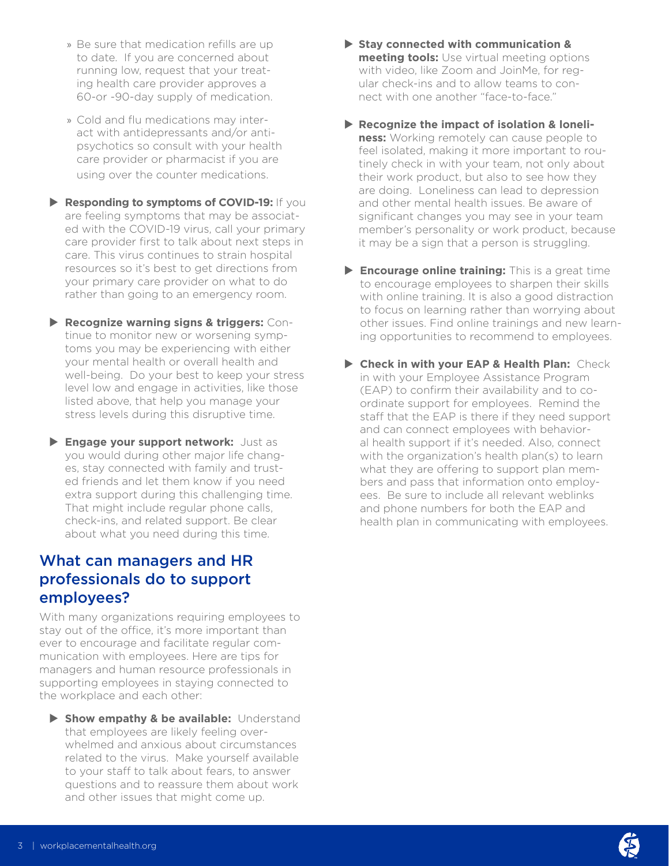- » Be sure that medication refills are up to date. If you are concerned about running low, request that your treating health care provider approves a 60-or -90-day supply of medication.
- » Cold and flu medications may interact with antidepressants and/or antipsychotics so consult with your health care provider or pharmacist if you are using over the counter medications.
- **Responding to symptoms of COVID-19:** If you are feeling symptoms that may be associated with the COVID-19 virus, call your primary care provider first to talk about next steps in care. This virus continues to strain hospital resources so it's best to get directions from your primary care provider on what to do rather than going to an emergency room.
- X **Recognize warning signs & triggers:** Continue to monitor new or worsening symptoms you may be experiencing with either your mental health or overall health and well-being. Do your best to keep your stress level low and engage in activities, like those listed above, that help you manage your stress levels during this disruptive time.
- X **Engage your support network:** Just as you would during other major life changes, stay connected with family and trusted friends and let them know if you need extra support during this challenging time. That might include regular phone calls, check-ins, and related support. Be clear about what you need during this time.

## What can managers and HR professionals do to support employees?

With many organizations requiring employees to stay out of the office, it's more important than ever to encourage and facilitate regular communication with employees. Here are tips for managers and human resource professionals in supporting employees in staying connected to the workplace and each other:

 $\triangleright$  **Show empathy & be available:** Understand that employees are likely feeling overwhelmed and anxious about circumstances related to the virus. Make yourself available to your staff to talk about fears, to answer questions and to reassure them about work and other issues that might come up.

- ▶ Stay connected with communication & **meeting tools:** Use virtual meeting options with video, like Zoom and JoinMe, for regular check-ins and to allow teams to connect with one another "face-to-face."
- ▶ Recognize the impact of isolation & loneli**ness:** Working remotely can cause people to feel isolated, making it more important to routinely check in with your team, not only about their work product, but also to see how they are doing. Loneliness can lead to depression and other mental health issues. Be aware of significant changes you may see in your team member's personality or work product, because it may be a sign that a person is struggling.
- **Encourage online training:** This is a great time to encourage employees to sharpen their skills with online training. It is also a good distraction to focus on learning rather than worrying about other issues. Find online trainings and new learning opportunities to recommend to employees.
- X **Check in with your EAP & Health Plan:** Check in with your Employee Assistance Program (EAP) to confirm their availability and to coordinate support for employees. Remind the staff that the EAP is there if they need support and can connect employees with behavioral health support if it's needed. Also, connect with the organization's health plan(s) to learn what they are offering to support plan members and pass that information onto employees. Be sure to include all relevant weblinks and phone numbers for both the EAP and health plan in communicating with employees.